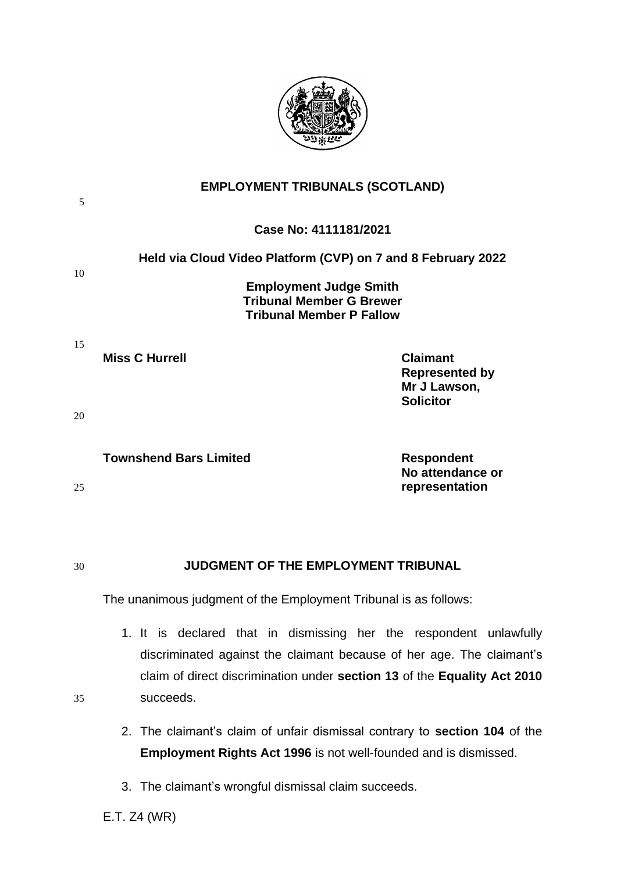

| 5  | <b>EMPLOYMENT TRIBUNALS (SCOTLAND)</b>                                                                                                                                                                                  |                                                                              |
|----|-------------------------------------------------------------------------------------------------------------------------------------------------------------------------------------------------------------------------|------------------------------------------------------------------------------|
|    | Case No: 4111181/2021                                                                                                                                                                                                   |                                                                              |
| 10 | Held via Cloud Video Platform (CVP) on 7 and 8 February 2022                                                                                                                                                            |                                                                              |
|    | <b>Employment Judge Smith</b><br><b>Tribunal Member G Brewer</b><br><b>Tribunal Member P Fallow</b>                                                                                                                     |                                                                              |
| 15 | <b>Miss C Hurrell</b>                                                                                                                                                                                                   | <b>Claimant</b><br><b>Represented by</b><br>Mr J Lawson,<br><b>Solicitor</b> |
| 20 |                                                                                                                                                                                                                         |                                                                              |
| 25 | <b>Townshend Bars Limited</b>                                                                                                                                                                                           | <b>Respondent</b><br>No attendance or<br>representation                      |
| 30 | <b>JUDGMENT OF THE EMPLOYMENT TRIBUNAL</b><br>The unanimous judgment of the Employment Tribunal is as follows:                                                                                                          |                                                                              |
|    |                                                                                                                                                                                                                         |                                                                              |
|    | 1. It is declared that in dismissing her the respondent unlawfully<br>discriminated against the claimant because of her age. The claimant's<br>claim of direct discrimination under section 13 of the Equality Act 2010 |                                                                              |
| 35 | succeeds.                                                                                                                                                                                                               |                                                                              |

- 2. The claimant's claim of unfair dismissal contrary to **section 104** of the **Employment Rights Act 1996** is not well-founded and is dismissed.
- 3. The claimant's wrongful dismissal claim succeeds.

E.T. Z4 (WR)